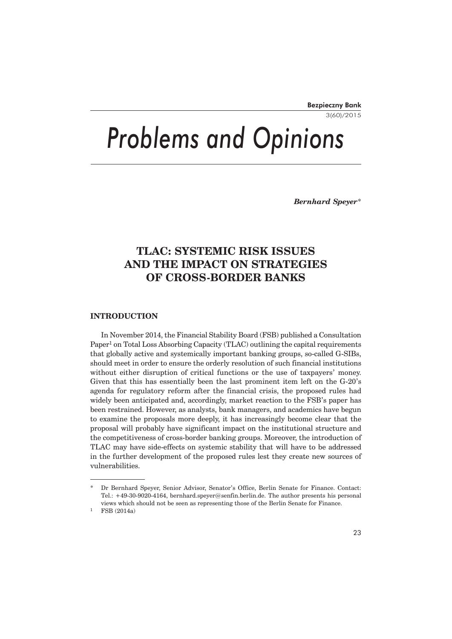3(60)/2015

# *Problems and Opinions*

*Bernhard Speyer*\*

# **TLAC: SYSTEMIC RISK ISSUES AND THE IMPACT ON STRATEGIES OF CROSS-BORDER BANKS**

# **INTRODUCTION**

In November 2014, the Financial Stability Board (FSB) published a Consultation Paper<sup>1</sup> on Total Loss Absorbing Capacity (TLAC) outlining the capital requirements that globally active and systemically important banking groups, so-called G-SIBs, should meet in order to ensure the orderly resolution of such financial institutions without either disruption of critical functions or the use of taxpayers' money. Given that this has essentially been the last prominent item left on the G-20's agenda for regulatory reform after the financial crisis, the proposed rules had widely been anticipated and, accordingly, market reaction to the FSB's paper has been restrained. However, as analysts, bank managers, and academics have begun to examine the proposals more deeply, it has increasingly become clear that the proposal will probably have significant impact on the institutional structure and the competitiveness of cross-border banking groups. Moreover, the introduction of TLAC may have side-effects on systemic stability that will have to be addressed in the further development of the proposed rules lest they create new sources of vulnerabilities.

<sup>\*</sup> Dr Bernhard Speyer, Senior Advisor, Senator's Office, Berlin Senate for Finance. Contact: Tel.: +49-30-9020-4164, bernhard.speyer@senfin.berlin.de. The author presents his personal views which should not be seen as representing those of the Berlin Senate for Finance.

FSB (2014a)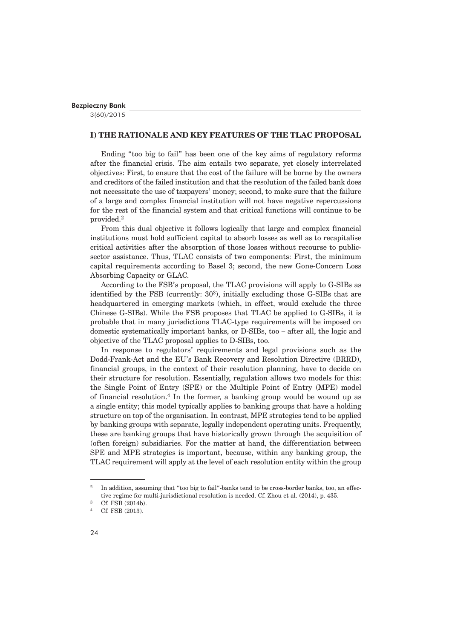3(60)/2015

## **I) THE RATIONALE AND KEY FEATURES OF THE TLAC PROPOSAL**

Ending "too big to fail" has been one of the key aims of regulatory reforms after the financial crisis. The aim entails two separate, yet closely interrelated objectives: First, to ensure that the cost of the failure will be borne by the owners and creditors of the failed institution and that the resolution of the failed bank does not necessitate the use of taxpayers' money; second, to make sure that the failure of a large and complex financial institution will not have negative repercussions for the rest of the financial system and that critical functions will continue to be provided.2

From this dual objective it follows logically that large and complex financial institutions must hold sufficient capital to absorb losses as well as to recapitalise critical activities after the absorption of those losses without recourse to publicsector assistance. Thus, TLAC consists of two components: First, the minimum capital requirements according to Basel 3; second, the new Gone-Concern Loss Absorbing Capacity or GLAC.

According to the FSB's proposal, the TLAC provisions will apply to G-SIBs as identified by the FSB (currently:  $30<sup>3</sup>$ ), initially excluding those G-SIBs that are headquartered in emerging markets (which, in effect, would exclude the three Chinese G-SIBs). While the FSB proposes that TLAC be applied to G-SIBs, it is probable that in many jurisdictions TLAC-type requirements will be imposed on domestic systematically important banks, or D-SIBs, too – after all, the logic and objective of the TLAC proposal applies to D-SIBs, too.

In response to regulators' requirements and legal provisions such as the Dodd-Frank-Act and the EU's Bank Recovery and Resolution Directive (BRRD), financial groups, in the context of their resolution planning, have to decide on their structure for resolution. Essentially, regulation allows two models for this: the Single Point of Entry (SPE) or the Multiple Point of Entry (MPE) model of financial resolution.4 In the former, a banking group would be wound up as a single entity; this model typically applies to banking groups that have a holding structure on top of the organisation. In contrast, MPE strategies tend to be applied by banking groups with separate, legally independent operating units. Frequently, these are banking groups that have historically grown through the acquisition of (often foreign) subsidiaries. For the matter at hand, the differentiation between SPE and MPE strategies is important, because, within any banking group, the TLAC requirement will apply at the level of each resolution entity within the group

<sup>&</sup>lt;sup>2</sup> In addition, assuming that "too big to fail"-banks tend to be cross-border banks, too, an effective regime for multi-jurisdictional resolution is needed. Cf. Zhou et al. (2014), p. 435.

 $^{3}$  Cf. FSB (2014b).

Cf. FSB (2013).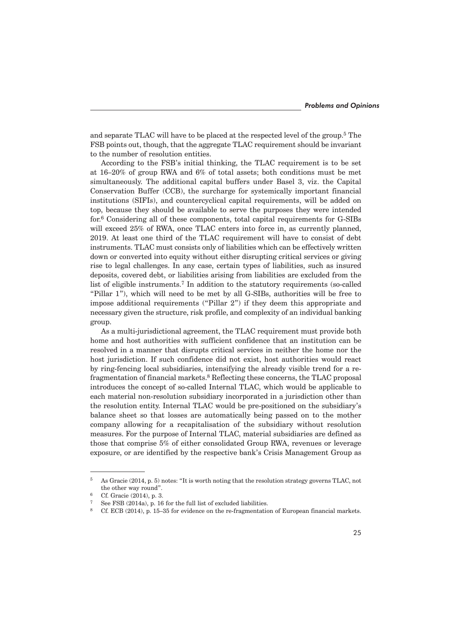and separate TLAC will have to be placed at the respected level of the group.<sup>5</sup> The FSB points out, though, that the aggregate TLAC requirement should be invariant to the number of resolution entities.

According to the FSB's initial thinking, the TLAC requirement is to be set at 16–20% of group RWA and 6% of total assets; both conditions must be met simultaneously. The additional capital buffers under Basel 3, viz. the Capital Conservation Buffer (CCB), the surcharge for systemically important financial institutions (SIFIs), and countercyclical capital requirements, will be added on top, because they should be available to serve the purposes they were intended for.6 Considering all of these components, total capital requirements for G-SIBs will exceed 25% of RWA, once TLAC enters into force in, as currently planned, 2019. At least one third of the TLAC requirement will have to consist of debt instruments. TLAC must consists only of liabilities which can be effectively written down or converted into equity without either disrupting critical services or giving rise to legal challenges. In any case, certain types of liabilities, such as insured deposits, covered debt, or liabilities arising from liabilities are excluded from the list of eligible instruments.7 In addition to the statutory requirements (so-called "Pillar 1"), which will need to be met by all G-SIBs, authorities will be free to impose additional requirements ("Pillar 2") if they deem this appropriate and necessary given the structure, risk profile, and complexity of an individual banking group.

As a multi-jurisdictional agreement, the TLAC requirement must provide both home and host authorities with sufficient confidence that an institution can be resolved in a manner that disrupts critical services in neither the home nor the host jurisdiction. If such confidence did not exist, host authorities would react by ring-fencing local subsidiaries, intensifying the already visible trend for a refragmentation of financial markets.<sup>8</sup> Reflecting these concerns, the TLAC proposal introduces the concept of so-called Internal TLAC, which would be applicable to each material non-resolution subsidiary incorporated in a jurisdiction other than the resolution entity. Internal TLAC would be pre-positioned on the subsidiary's balance sheet so that losses are automatically being passed on to the mother company allowing for a recapitalisation of the subsidiary without resolution measures. For the purpose of Internal TLAC, material subsidiaries are defined as those that comprise 5% of either consolidated Group RWA, revenues or leverage exposure, or are identified by the respective bank's Crisis Management Group as

 $5$  As Gracie (2014, p. 5) notes: "It is worth noting that the resolution strategy governs TLAC, not the other way round".

<sup>6</sup> Cf. Gracie (2014), p. 3.

See FSB  $(2014a)$ , p. 16 for the full list of excluded liabilities.

<sup>8</sup> Cf. ECB (2014), p. 15–35 for evidence on the re-fragmentation of European financial markets.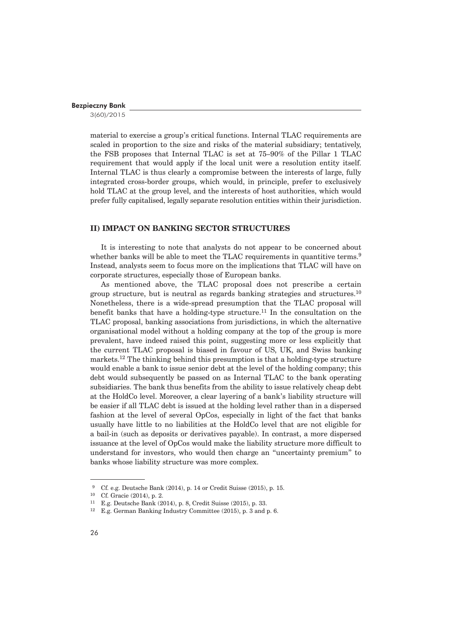3(60)/2015

material to exercise a group's critical functions. Internal TLAC requirements are scaled in proportion to the size and risks of the material subsidiary; tentatively, the FSB proposes that Internal TLAC is set at 75–90% of the Pillar 1 TLAC requirement that would apply if the local unit were a resolution entity itself. Internal TLAC is thus clearly a compromise between the interests of large, fully integrated cross-border groups, which would, in principle, prefer to exclusively hold TLAC at the group level, and the interests of host authorities, which would prefer fully capitalised, legally separate resolution entities within their jurisdiction.

# **II) IMPACT ON BANKING SECTOR STRUCTURES**

It is interesting to note that analysts do not appear to be concerned about whether banks will be able to meet the TLAC requirements in quantitive terms.<sup>9</sup> Instead, analysts seem to focus more on the implications that TLAC will have on corporate structures, especially those of European banks.

As mentioned above, the TLAC proposal does not prescribe a certain group structure, but is neutral as regards banking strategies and structures.<sup>10</sup> Nonetheless, there is a wide-spread presumption that the TLAC proposal will benefit banks that have a holding-type structure.<sup>11</sup> In the consultation on the TLAC proposal, banking associations from jurisdictions, in which the alternative organisational model without a holding company at the top of the group is more prevalent, have indeed raised this point, suggesting more or less explicitly that the current TLAC proposal is biased in favour of US, UK, and Swiss banking markets.12 The thinking behind this presumption is that a holding-type structure would enable a bank to issue senior debt at the level of the holding company; this debt would subsequently be passed on as Internal TLAC to the bank operating subsidiaries. The bank thus benefits from the ability to issue relatively cheap debt at the HoldCo level. Moreover, a clear layering of a bank's liability structure will be easier if all TLAC debt is issued at the holding level rather than in a dispersed fashion at the level of several OpCos, especially in light of the fact that banks usually have little to no liabilities at the HoldCo level that are not eligible for a bail-in (such as deposits or derivatives payable). In contrast, a more dispersed issuance at the level of OpCos would make the liability structure more difficult to understand for investors, who would then charge an "uncertainty premium" to banks whose liability structure was more complex.

<sup>&</sup>lt;sup>9</sup> Cf. e.g. Deutsche Bank (2014), p. 14 or Credit Suisse (2015), p. 15.

<sup>10</sup> Cf. Gracie (2014), p. 2.

<sup>11</sup> E.g. Deutsche Bank (2014), p. 8, Credit Suisse (2015), p. 33.

<sup>12</sup> E.g. German Banking Industry Committee (2015), p. 3 and p. 6.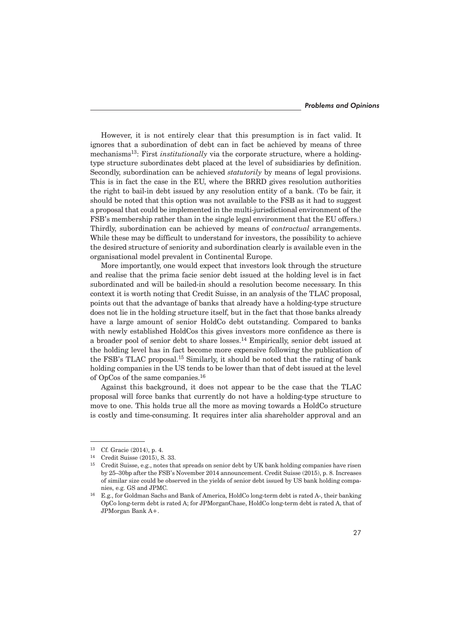However, it is not entirely clear that this presumption is in fact valid. It ignores that a subordination of debt can in fact be achieved by means of three mechanisms13: First *institutionally* via the corporate structure, where a holdingtype structure subordinates debt placed at the level of subsidiaries by definition. Secondly, subordination can be achieved *statutorily* by means of legal provisions. This is in fact the case in the EU, where the BRRD gives resolution authorities the right to bail-in debt issued by any resolution entity of a bank. (To be fair, it should be noted that this option was not available to the FSB as it had to suggest a proposal that could be implemented in the multi-jurisdictional environment of the FSB's membership rather than in the single legal environment that the EU offers.) Thirdly, subordination can be achieved by means of *contractual* arrangements. While these may be difficult to understand for investors, the possibility to achieve the desired structure of seniority and subordination clearly is available even in the organisational model prevalent in Continental Europe.

More importantly, one would expect that investors look through the structure and realise that the prima facie senior debt issued at the holding level is in fact subordinated and will be bailed-in should a resolution become necessary. In this context it is worth noting that Credit Suisse, in an analysis of the TLAC proposal, points out that the advantage of banks that already have a holding-type structure does not lie in the holding structure itself, but in the fact that those banks already have a large amount of senior HoldCo debt outstanding. Compared to banks with newly established HoldCos this gives investors more confidence as there is a broader pool of senior debt to share losses.14 Empirically, senior debt issued at the holding level has in fact become more expensive following the publication of the FSB's TLAC proposal.15 Similarly, it should be noted that the rating of bank holding companies in the US tends to be lower than that of debt issued at the level of OpCos of the same companies.16

Against this background, it does not appear to be the case that the TLAC proposal will force banks that currently do not have a holding-type structure to move to one. This holds true all the more as moving towards a HoldCo structure is costly and time-consuming. It requires inter alia shareholder approval and an

<sup>13</sup> Cf. Gracie (2014), p. 4.

<sup>14</sup> Credit Suisse (2015), S. 33.

<sup>15</sup> Credit Suisse, e.g., notes that spreads on senior debt by UK bank holding companies have risen by 25–30bp after the FSB's November 2014 announcement. Credit Suisse (2015), p. 8. Increases of similar size could be observed in the yields of senior debt issued by US bank holding companies, e.g. GS and JPMC.

<sup>16</sup> E.g., for Goldman Sachs and Bank of America, HoldCo long-term debt is rated A-, their banking OpCo long-term debt is rated A; for JPMorganChase, HoldCo long-term debt is rated A, that of JPMorgan Bank A+.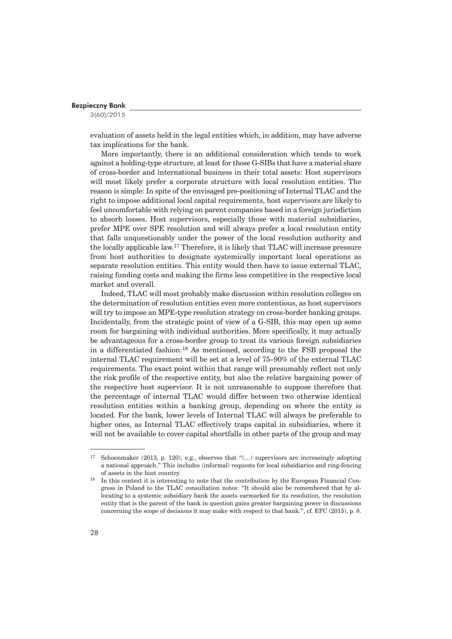3(60)/2015

evaluation of assets held in the legal entities which, in addition, may have adverse tax implications for the bank.

More importantly, there is an additional consideration which tends to work against a holding-type structure, at least for those G-SIBs that have a material share of cross-border and international business in their total assets: Host supervisors will most likely prefer a corporate structure with local resolution entities. The reason is simple: In spite of the envisaged pre-positioning of Internal TLAC and the right to impose additional local capital requirements, host supervisors are likely to feel uncomfortable with relying on parent companies based in a foreign jurisdiction to absorb losses. Host supervisors, especially those with material subsidiaries, prefer MPE over SPE resolution and will always prefer a local resolution entity that falls unquestionably under the power of the local resolution authority and the locally applicable law.17 Therefore, it is likely that TLAC will increase pressure from host authorities to designate systemically important local operations as separate resolution entities. This entity would then have to issue external TLAC, raising funding costs and making the firms less competitive in the respective local market and overall.

Indeed, TLAC will most probably make discussion within resolution colleges on the determination of resolution entities even more contentious, as host supervisors will try to impose an MPE-type resolution strategy on cross-border banking groups. Incidentally, from the strategic point of view of a G-SIB, this may open up some room for bargaining with individual authorities. More specifically, it may actually be advantageous for a cross-border group to treat its various foreign subsidiaries in a differentiated fashion:18 As mentioned, according to the FSB proposal the internal TLAC requirement will be set at a level of 75–90% of the external TLAC requirements. The exact point within that range will presumably reflect not only the risk profile of the respective entity, but also the relative bargaining power of the respective host supervisor. It is not unreasonable to suppose therefore that the percentage of internal TLAC would differ between two otherwise identical resolution entities within a banking group, depending on where the entity is located. For the bank, lower levels of Internal TLAC will always be preferable to higher ones, as Internal TLAC effectively traps capital in subsidiaries, where it will not be available to cover capital shortfalls in other parts of the group and may

<sup>&</sup>lt;sup>17</sup> Schoenmaker (2013, p. 120), e.g., observes that " $\dots$ ) supervisors are increasingly adopting a national approach." This includes (informal) requests for local subsidiaries and ring-fencing

<sup>%</sup> of assets in the host country.<br><sup>18</sup> In this context it is interesting to note that the contribution by the European Financial Congress in Poland to the TLAC consultation notes: "It should also be remembered that by allocating to a systemic subsidiary bank the assets earmarked for its resolution, the resolution entity that is the parent of the bank in question gains greater bargaining power in discussions concerning the scope of decisions it may make with respect to that bank.", cf. EFC (2015), p. 8.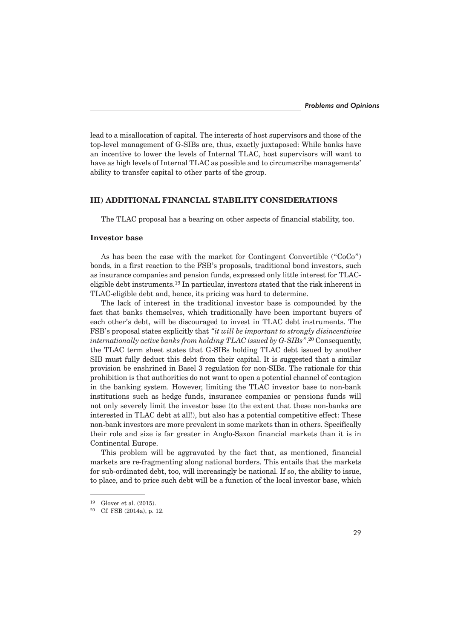lead to a misallocation of capital. The interests of host supervisors and those of the top-level management of G-SIBs are, thus, exactly juxtaposed: While banks have an incentive to lower the levels of Internal TLAC, host supervisors will want to have as high levels of Internal TLAC as possible and to circumscribe managements' ability to transfer capital to other parts of the group.

# **III) ADDITIONAL FINANCIAL STABILITY CONSIDERATIONS**

The TLAC proposal has a bearing on other aspects of financial stability, too.

# **Investor base**

As has been the case with the market for Contingent Convertible ("CoCo") bonds, in a first reaction to the FSB's proposals, traditional bond investors, such as insurance companies and pension funds, expressed only little interest for TLACeligible debt instruments.19 In particular, investors stated that the risk inherent in TLAC-eligible debt and, hence, its pricing was hard to determine.

The lack of interest in the traditional investor base is compounded by the fact that banks themselves, which traditionally have been important buyers of each other's debt, will be discouraged to invest in TLAC debt instruments. The FSB's proposal states explicitly that *"it will be important to strongly disincentivise internationally active banks from holding TLAC issued by G-SIBs"*. 20 Consequently, the TLAC term sheet states that G-SIBs holding TLAC debt issued by another SIB must fully deduct this debt from their capital. It is suggested that a similar provision be enshrined in Basel 3 regulation for non-SIBs. The rationale for this prohibition is that authorities do not want to open a potential channel of contagion in the banking system. However, limiting the TLAC investor base to non-bank institutions such as hedge funds, insurance companies or pensions funds will not only severely limit the investor base (to the extent that these non-banks are interested in TLAC debt at all!), but also has a potential competitive effect: These non-bank investors are more prevalent in some markets than in others. Specifically their role and size is far greater in Anglo-Saxon financial markets than it is in Continental Europe.

This problem will be aggravated by the fact that, as mentioned, financial markets are re-fragmenting along national borders. This entails that the markets for sub-ordinated debt, too, will increasingly be national. If so, the ability to issue, to place, and to price such debt will be a function of the local investor base, which

<sup>&</sup>lt;sup>19</sup> Glover et al.  $(2015)$ .<br><sup>20</sup> Cf FSB  $(2014a)$ , p.

Cf. FSB (2014a), p. 12.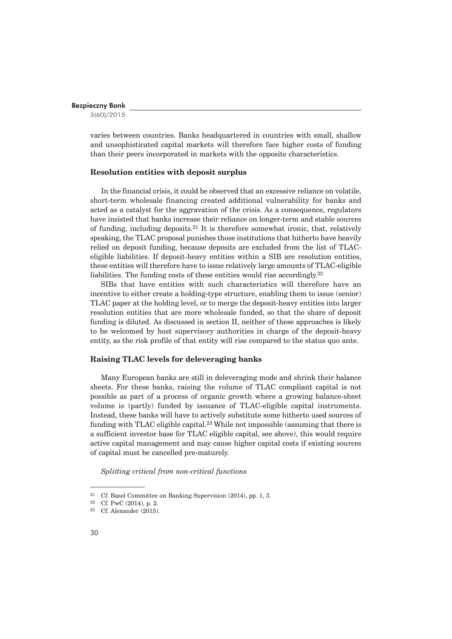3(60)/2015

varies between countries. Banks headquartered in countries with small, shallow and unsophisticated capital markets will therefore face higher costs of funding than their peers incorporated in markets with the opposite characteristics.

## **Resolution entities with deposit surplus**

In the financial crisis, it could be observed that an excessive reliance on volatile, short-term wholesale financing created additional vulnerability for banks and acted as a catalyst for the aggravation of the crisis. As a consequence, regulators have insisted that banks increase their reliance on longer-term and stable sources of funding, including deposits.21 It is therefore somewhat ironic, that, relatively speaking, the TLAC proposal punishes those institutions that hitherto have heavily relied on deposit funding, because deposits are excluded from the list of TLACeligible liabilities. If deposit-heavy entities within a SIB are resolution entities, these entities will therefore have to issue relatively large amounts of TLAC-eligible liabilities. The funding costs of these entities would rise accordingly. $22$ 

SIBs that have entities with such characteristics will therefore have an incentive to either create a holding-type structure, enabling them to issue (senior) TLAC paper at the holding level, or to merge the deposit-heavy entities into larger resolution entities that are more wholesale funded, so that the share of deposit funding is diluted. As discussed in section II, neither of these approaches is likely to be welcomed by host supervisory authorities in charge of the deposit-heavy entity, as the risk profile of that entity will rise compared to the status quo ante.

#### **Raising TLAC levels for deleveraging banks**

Many European banks are still in deleveraging mode and shrink their balance sheets. For these banks, raising the volume of TLAC compliant capital is not possible as part of a process of organic growth where a growing balance-sheet volume is (partly) funded by issuance of TLAC-eligible capital instruments. Instead, these banks will have to actively substitute some hitherto used sources of funding with TLAC eligible capital.<sup>23</sup> While not impossible (assuming that there is a sufficient investor base for TLAC eligible capital, see above), this would require active capital management and may cause higher capital costs if existing sources of capital must be cancelled pre-maturely.

*Splitting critical from non-critical functions*

<sup>21</sup> Cf. Basel Committee on Banking Supervision (2014), pp. 1, 3.

<sup>22</sup> Cf. PwC (2014), p. 2.

<sup>23</sup> Cf. Alexander (2015).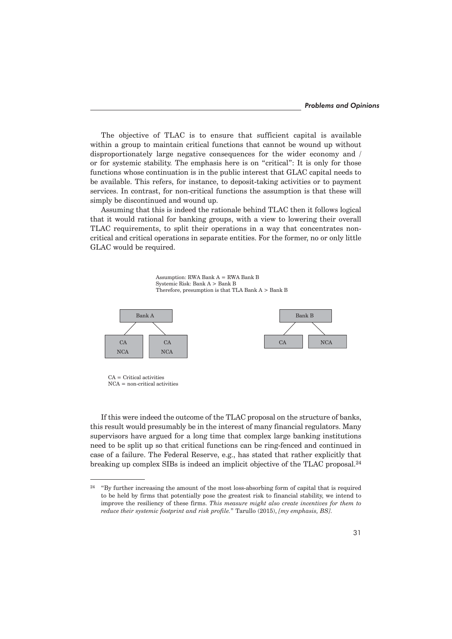The objective of TLAC is to ensure that sufficient capital is available within a group to maintain critical functions that cannot be wound up without disproportionately large negative consequences for the wider economy and / or for systemic stability. The emphasis here is on "critical": It is only for those functions whose continuation is in the public interest that GLAC capital needs to be available. This refers, for instance, to deposit-taking activities or to payment services. In contrast, for non-critical functions the assumption is that these will simply be discontinued and wound up.

Assuming that this is indeed the rationale behind TLAC then it follows logical that it would rational for banking groups, with a view to lowering their overall TLAC requirements, to split their operations in a way that concentrates noncritical and critical operations in separate entities. For the former, no or only little GLAC would be required.

Assumption: RWA Bank A = RWA Bank B Systemic Risk: Bank A > Bank B Therefore, presumption is that TLA Bank  $A >$  Bank B



CA = Critical activities NCA = non-critical activities

If this were indeed the outcome of the TLAC proposal on the structure of banks, this result would presumably be in the interest of many financial regulators. Many supervisors have argued for a long time that complex large banking institutions need to be split up so that critical functions can be ring-fenced and continued in case of a failure. The Federal Reserve, e.g., has stated that rather explicitly that breaking up complex SIBs is indeed an implicit objective of the TLAC proposal.24

<sup>&</sup>lt;sup>24</sup> "By further increasing the amount of the most loss-absorbing form of capital that is required to be held by firms that potentially pose the greatest risk to financial stability, we intend to improve the resiliency of these firms. *This measure might also create incentives for them to reduce their systemic footprint and risk profile.*" Tarullo (2015), *[my emphasis, BS]*.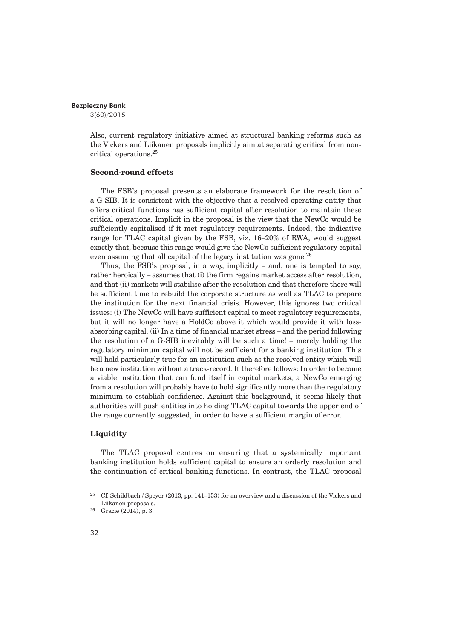3(60)/2015

Also, current regulatory initiative aimed at structural banking reforms such as the Vickers and Liikanen proposals implicitly aim at separating critical from noncritical operations.25

# **Second-round effects**

The FSB's proposal presents an elaborate framework for the resolution of a G-SIB. It is consistent with the objective that a resolved operating entity that offers critical functions has sufficient capital after resolution to maintain these critical operations. Implicit in the proposal is the view that the NewCo would be sufficiently capitalised if it met regulatory requirements. Indeed, the indicative range for TLAC capital given by the FSB, viz. 16–20% of RWA, would suggest exactly that, because this range would give the NewCo sufficient regulatory capital even assuming that all capital of the legacy institution was gone.<sup>26</sup>

Thus, the FSB's proposal, in a way, implicitly – and, one is tempted to say, rather heroically – assumes that (i) the firm regains market access after resolution, and that (ii) markets will stabilise after the resolution and that therefore there will be sufficient time to rebuild the corporate structure as well as TLAC to prepare the institution for the next financial crisis. However, this ignores two critical issues: (i) The NewCo will have sufficient capital to meet regulatory requirements, but it will no longer have a HoldCo above it which would provide it with lossabsorbing capital. (ii) In a time of financial market stress – and the period following the resolution of a G-SIB inevitably will be such a time! – merely holding the regulatory minimum capital will not be sufficient for a banking institution. This will hold particularly true for an institution such as the resolved entity which will be a new institution without a track-record. It therefore follows: In order to become a viable institution that can fund itself in capital markets, a NewCo emerging from a resolution will probably have to hold significantly more than the regulatory minimum to establish confidence. Against this background, it seems likely that authorities will push entities into holding TLAC capital towards the upper end of the range currently suggested, in order to have a sufficient margin of error.

#### **Liquidity**

The TLAC proposal centres on ensuring that a systemically important banking institution holds sufficient capital to ensure an orderly resolution and the continuation of critical banking functions. In contrast, the TLAC proposal

<sup>25</sup> Cf. Schildbach / Speyer (2013, pp. 141–153) for an overview and a discussion of the Vickers and Liikanen proposals.

<sup>26</sup> Gracie (2014), p. 3.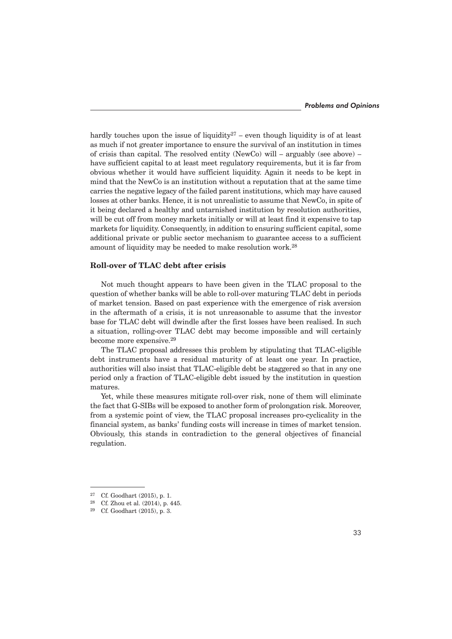hardly touches upon the issue of liquidity<sup>27</sup> – even though liquidity is of at least as much if not greater importance to ensure the survival of an institution in times of crisis than capital. The resolved entity (NewCo) will – arguably (see above) – have sufficient capital to at least meet regulatory requirements, but it is far from obvious whether it would have sufficient liquidity. Again it needs to be kept in mind that the NewCo is an institution without a reputation that at the same time carries the negative legacy of the failed parent institutions, which may have caused losses at other banks. Hence, it is not unrealistic to assume that NewCo, in spite of it being declared a healthy and untarnished institution by resolution authorities, will be cut off from money markets initially or will at least find it expensive to tap markets for liquidity. Consequently, in addition to ensuring sufficient capital, some additional private or public sector mechanism to guarantee access to a sufficient amount of liquidity may be needed to make resolution work.28

# **Roll-over of TLAC debt after crisis**

Not much thought appears to have been given in the TLAC proposal to the question of whether banks will be able to roll-over maturing TLAC debt in periods of market tension. Based on past experience with the emergence of risk aversion in the aftermath of a crisis, it is not unreasonable to assume that the investor base for TLAC debt will dwindle after the first losses have been realised. In such a situation, rolling-over TLAC debt may become impossible and will certainly become more expensive.29

The TLAC proposal addresses this problem by stipulating that TLAC-eligible debt instruments have a residual maturity of at least one year. In practice, authorities will also insist that TLAC-eligible debt be staggered so that in any one period only a fraction of TLAC-eligible debt issued by the institution in question matures.

Yet, while these measures mitigate roll-over risk, none of them will eliminate the fact that G-SIBs will be exposed to another form of prolongation risk. Moreover, from a systemic point of view, the TLAC proposal increases pro-cyclicality in the financial system, as banks' funding costs will increase in times of market tension. Obviously, this stands in contradiction to the general objectives of financial regulation.

<sup>27</sup> Cf. Goodhart (2015), p. 1.

<sup>28</sup> Cf. Zhou et al. (2014), p. 445.

<sup>29</sup> Cf. Goodhart (2015), p. 3.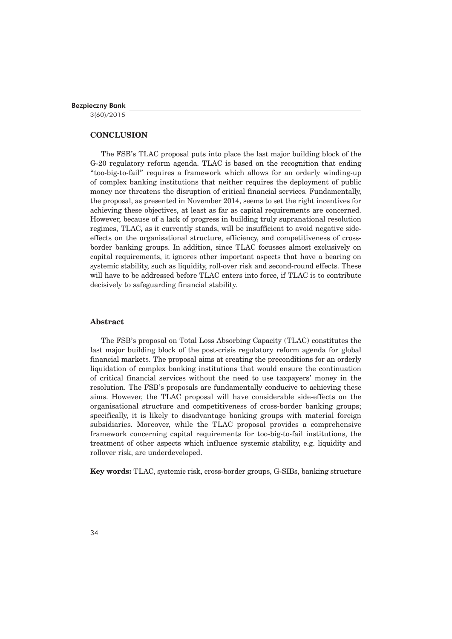3(60)/2015

# **CONCLUSION**

The FSB's TLAC proposal puts into place the last major building block of the G-20 regulatory reform agenda. TLAC is based on the recognition that ending "too-big-to-fail" requires a framework which allows for an orderly winding-up of complex banking institutions that neither requires the deployment of public money nor threatens the disruption of critical financial services. Fundamentally, the proposal, as presented in November 2014, seems to set the right incentives for achieving these objectives, at least as far as capital requirements are concerned. However, because of a lack of progress in building truly supranational resolution regimes, TLAC, as it currently stands, will be insufficient to avoid negative sideeffects on the organisational structure, efficiency, and competitiveness of crossborder banking groups. In addition, since TLAC focusses almost exclusively on capital requirements, it ignores other important aspects that have a bearing on systemic stability, such as liquidity, roll-over risk and second-round effects. These will have to be addressed before TLAC enters into force, if TLAC is to contribute decisively to safeguarding financial stability.

# **Abstract**

The FSB's proposal on Total Loss Absorbing Capacity (TLAC) constitutes the last major building block of the post-crisis regulatory reform agenda for global financial markets. The proposal aims at creating the preconditions for an orderly liquidation of complex banking institutions that would ensure the continuation of critical financial services without the need to use taxpayers' money in the resolution. The FSB's proposals are fundamentally conducive to achieving these aims. However, the TLAC proposal will have considerable side-effects on the organisational structure and competitiveness of cross-border banking groups; specifically, it is likely to disadvantage banking groups with material foreign subsidiaries. Moreover, while the TLAC proposal provides a comprehensive framework concerning capital requirements for too-big-to-fail institutions, the treatment of other aspects which influence systemic stability, e.g. liquidity and rollover risk, are underdeveloped.

**Key words:** TLAC, systemic risk, cross-border groups, G-SIBs, banking structure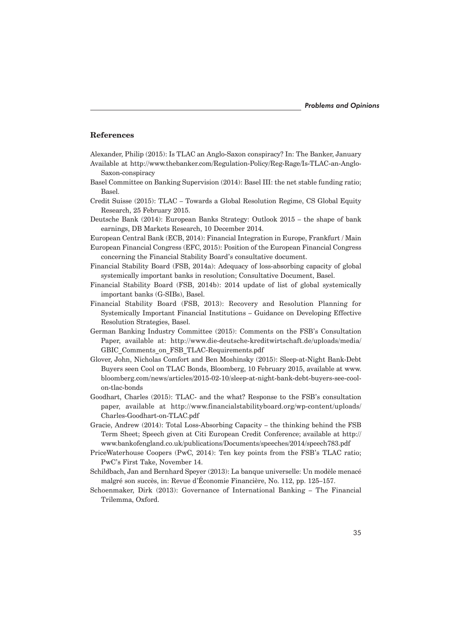#### **References**

Alexander, Philip (2015): Is TLAC an Anglo-Saxon conspiracy? In: The Banker, January

- Available at http://www.thebanker.com/Regulation-Policy/Reg-Rage/Is-TLAC-an-Anglo-Saxon-conspiracy
- Basel Committee on Banking Supervision (2014): Basel III: the net stable funding ratio; Basel.
- Credit Suisse (2015): TLAC Towards a Global Resolution Regime, CS Global Equity Research, 25 February 2015.
- Deutsche Bank (2014): European Banks Strategy: Outlook 2015 the shape of bank earnings, DB Markets Research, 10 December 2014.
- European Central Bank (ECB, 2014): Financial Integration in Europe, Frankfurt / Main
- European Financial Congress (EFC, 2015): Position of the European Financial Congress concerning the Financial Stability Board's consultative document.
- Financial Stability Board (FSB, 2014a): Adequacy of loss-absorbing capacity of global systemically important banks in resolution; Consultative Document, Basel.
- Financial Stability Board (FSB, 2014b): 2014 update of list of global systemically important banks (G-SIBs), Basel.
- Financial Stability Board (FSB, 2013): Recovery and Resolution Planning for Systemically Important Financial Institutions – Guidance on Developing Effective Resolution Strategies, Basel.
- German Banking Industry Committee (2015): Comments on the FSB's Consultation Paper, available at: http://www.die-deutsche-kreditwirtschaft.de/uploads/media/ GBIC\_Comments\_on\_FSB\_TLAC-Requirements.pdf
- Glover, John, Nicholas Comfort and Ben Moshinsky (2015): Sleep-at-Night Bank-Debt Buyers seen Cool on TLAC Bonds, Bloomberg, 10 February 2015, available at www. bloomberg.com/news/articles/2015-02-10/sleep-at-night-bank-debt-buyers-see-coolon-tlac-bonds
- Goodhart, Charles (2015): TLAC- and the what? Response to the FSB's consultation paper, available at http://www.financialstabilityboard.org/wp-content/uploads/ Charles-Goodhart-on-TLAC.pdf
- Gracie, Andrew (2014): Total Loss-Absorbing Capacity the thinking behind the FSB Term Sheet; Speech given at Citi European Credit Conference; available at http:// www.bankofengland.co.uk/publications/Documents/speeches/2014/speech783.pdf
- PriceWaterhouse Coopers (PwC, 2014): Ten key points from the FSB's TLAC ratio; PwC's First Take, November 14.
- Schildbach, Jan and Bernhard Speyer (2013): La banque universelle: Un modèle menacé malgré son succès, in: Revue d'Économie Financière, No. 112, pp. 125–157.
- Schoenmaker, Dirk (2013): Governance of International Banking The Financial Trilemma, Oxford.